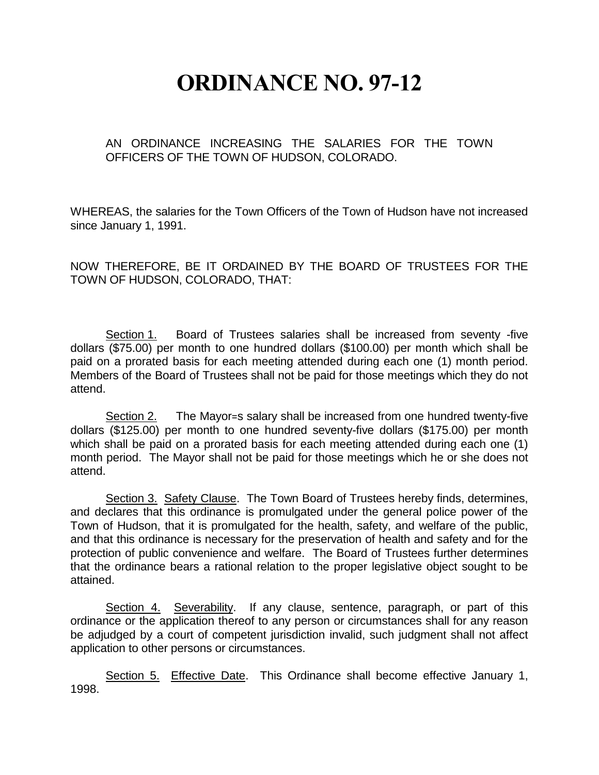## **ORDINANCE NO. 97-12**

AN ORDINANCE INCREASING THE SALARIES FOR THE TOWN OFFICERS OF THE TOWN OF HUDSON, COLORADO.

WHEREAS, the salaries for the Town Officers of the Town of Hudson have not increased since January 1, 1991.

NOW THEREFORE, BE IT ORDAINED BY THE BOARD OF TRUSTEES FOR THE TOWN OF HUDSON, COLORADO, THAT:

Section 1. Board of Trustees salaries shall be increased from seventy -five dollars (\$75.00) per month to one hundred dollars (\$100.00) per month which shall be paid on a prorated basis for each meeting attended during each one (1) month period. Members of the Board of Trustees shall not be paid for those meetings which they do not attend.

Section 2. The Mayor=s salary shall be increased from one hundred twenty-five dollars (\$125.00) per month to one hundred seventy-five dollars (\$175.00) per month which shall be paid on a prorated basis for each meeting attended during each one (1) month period. The Mayor shall not be paid for those meetings which he or she does not attend.

Section 3. Safety Clause. The Town Board of Trustees hereby finds, determines, and declares that this ordinance is promulgated under the general police power of the Town of Hudson, that it is promulgated for the health, safety, and welfare of the public, and that this ordinance is necessary for the preservation of health and safety and for the protection of public convenience and welfare. The Board of Trustees further determines that the ordinance bears a rational relation to the proper legislative object sought to be attained.

Section 4. Severability. If any clause, sentence, paragraph, or part of this ordinance or the application thereof to any person or circumstances shall for any reason be adjudged by a court of competent jurisdiction invalid, such judgment shall not affect application to other persons or circumstances.

Section 5. Effective Date. This Ordinance shall become effective January 1, 1998.